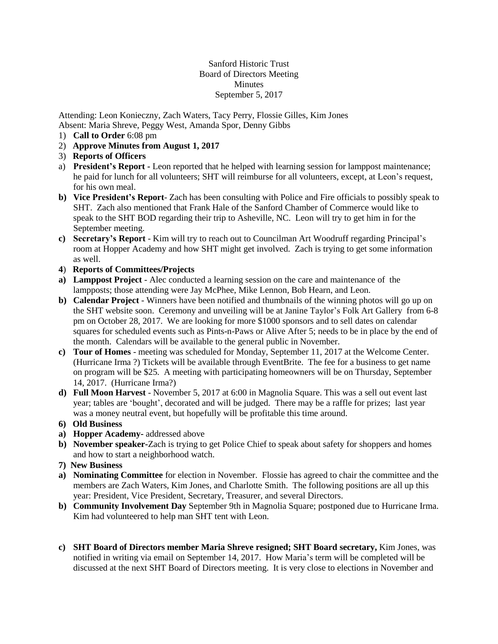Sanford Historic Trust Board of Directors Meeting Minutes September 5, 2017

Attending: Leon Konieczny, Zach Waters, Tacy Perry, Flossie Gilles, Kim Jones Absent: Maria Shreve, Peggy West, Amanda Spor, Denny Gibbs

- 1) **Call to Order** 6:08 pm
- 2) **Approve Minutes from August 1, 2017**
- 3) **Reports of Officers**
- a) **President's Report -** Leon reported that he helped with learning session for lamppost maintenance; he paid for lunch for all volunteers; SHT will reimburse for all volunteers, except, at Leon's request, for his own meal.
- **b) Vice President's Report** Zach has been consulting with Police and Fire officials to possibly speak to SHT. Zach also mentioned that Frank Hale of the Sanford Chamber of Commerce would like to speak to the SHT BOD regarding their trip to Asheville, NC. Leon will try to get him in for the September meeting.
- **c) Secretary's Report** Kim will try to reach out to Councilman Art Woodruff regarding Principal's room at Hopper Academy and how SHT might get involved. Zach is trying to get some information as well.
- **4**) **Reports of Committees/Projects**
- **a) Lamppost Project** Alec conducted a learning session on the care and maintenance of the lampposts; those attending were Jay McPhee, Mike Lennon, Bob Hearn, and Leon.
- **b) Calendar Project** Winners have been notified and thumbnails of the winning photos will go up on the SHT website soon. Ceremony and unveiling will be at Janine Taylor's Folk Art Gallery from 6-8 pm on October 28, 2017. We are looking for more \$1000 sponsors and to sell dates on calendar squares for scheduled events such as Pints-n-Paws or Alive After 5; needs to be in place by the end of the month. Calendars will be available to the general public in November.
- **c) Tour of Homes** meeting was scheduled for Monday, September 11, 2017 at the Welcome Center. (Hurricane Irma ?) Tickets will be available through EventBrite. The fee for a business to get name on program will be \$25. A meeting with participating homeowners will be on Thursday, September 14, 2017. (Hurricane Irma?)
- **d) Full Moon Harvest** November 5, 2017 at 6:00 in Magnolia Square. This was a sell out event last year; tables are 'bought', decorated and will be judged. There may be a raffle for prizes; last year was a money neutral event, but hopefully will be profitable this time around.
- **6) Old Business**
- **a) Hopper Academy-** addressed above
- **b) November speaker-**Zach is trying to get Police Chief to speak about safety for shoppers and homes and how to start a neighborhood watch.
- **7) New Business**
- **a) Nominating Committee** for election in November. Flossie has agreed to chair the committee and the members are Zach Waters, Kim Jones, and Charlotte Smith. The following positions are all up this year: President, Vice President, Secretary, Treasurer, and several Directors.
- **b) Community Involvement Day** September 9th in Magnolia Square; postponed due to Hurricane Irma. Kim had volunteered to help man SHT tent with Leon.
- **c) SHT Board of Directors member Maria Shreve resigned; SHT Board secretary,** Kim Jones, was notified in writing via email on September 14, 2017. How Maria's term will be completed will be discussed at the next SHT Board of Directors meeting. It is very close to elections in November and